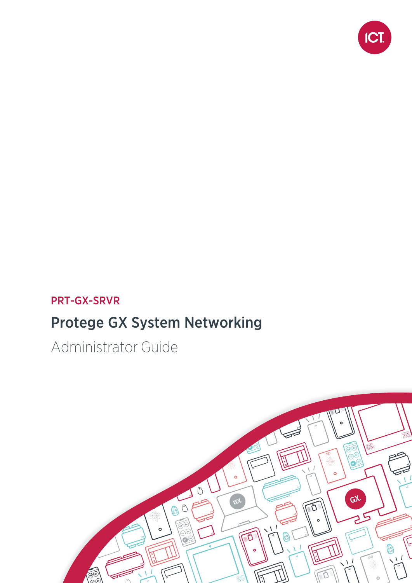

#### PRT-GX-SRVR

### Protege GX System Networking

Administrator Guide

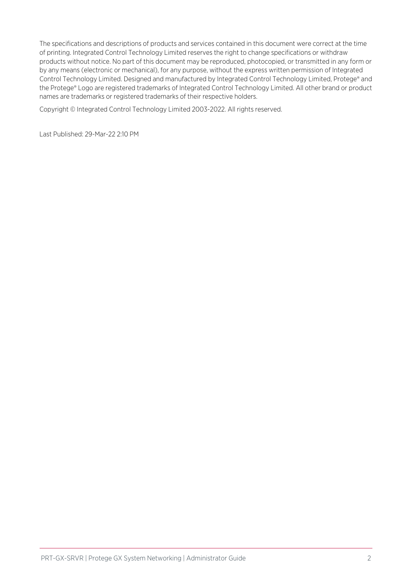The specifications and descriptions of products and services contained in this document were correct at the time of printing. Integrated Control Technology Limited reserves the right to change specifications or withdraw products without notice. No part of this document may be reproduced, photocopied, or transmitted in any form or by any means (electronic or mechanical), for any purpose, without the express written permission of Integrated Control Technology Limited. Designed and manufactured by Integrated Control Technology Limited, Protege® and the Protege® Logo are registered trademarks of Integrated Control Technology Limited. All other brand or product names are trademarks or registered trademarks of their respective holders.

Copyright © Integrated Control Technology Limited 2003-2022. All rights reserved.

Last Published: 29-Mar-22 2:10 PM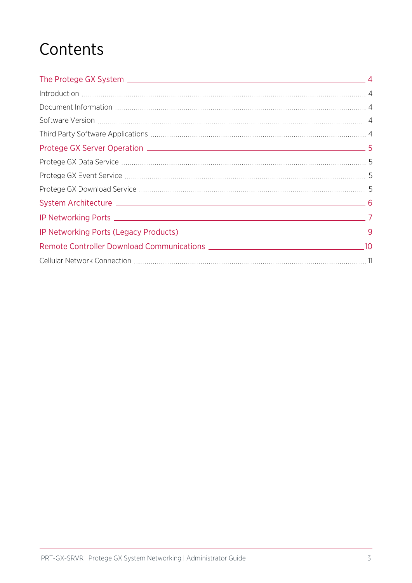### **Contents**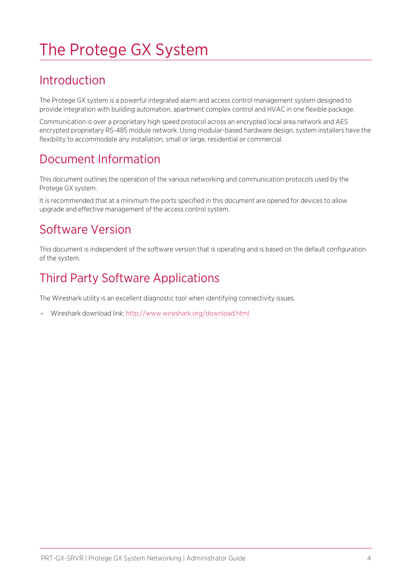# <span id="page-3-0"></span>The Protege GX System

#### <span id="page-3-1"></span>Introduction

The Protege GX system is a powerful integrated alarm and access control management system designed to provide integration with building automation, apartment complex control and HVAC in one flexible package.

Communication is over a proprietary high speed protocol across an encrypted local area network and AES encrypted proprietary RS-485 module network. Using modular-based hardware design, system installers have the flexibility to accommodate any installation, small or large, residential or commercial.

#### <span id="page-3-2"></span>Document Information

This document outlines the operation of the various networking and communication protocols used by the Protege GX system.

<span id="page-3-3"></span>It is recommended that at a minimum the ports specified in this document are opened for devices to allow upgrade and effective management of the access control system.

#### Software Version

<span id="page-3-4"></span>This document is independent of the software version that is operating and is based on the default configuration of the system.

#### Third Party Software Applications

The Wireshark utility is an excellent diagnostic tool when identifying connectivity issues.

⦁ Wireshark download link: <http://www.wireshark.org/download.html>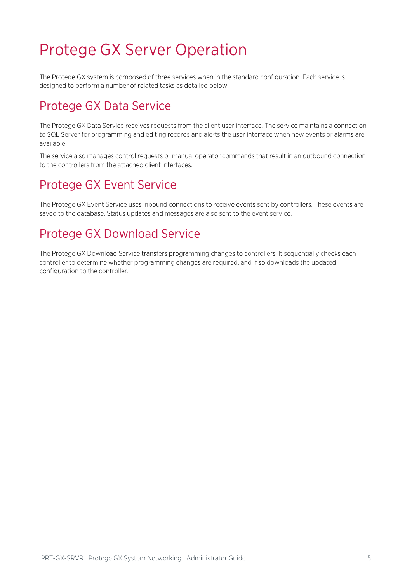### <span id="page-4-0"></span>Protege GX Server Operation

<span id="page-4-1"></span>The Protege GX system is composed of three services when in the standard configuration. Each service is designed to perform a number of related tasks as detailed below.

#### Protege GX Data Service

The Protege GX Data Service receives requests from the client user interface. The service maintains a connection to SQL Server for programming and editing records and alerts the user interface when new events or alarms are available.

<span id="page-4-2"></span>The service also manages control requests or manual operator commands that result in an outbound connection to the controllers from the attached client interfaces.

#### Protege GX Event Service

<span id="page-4-3"></span>The Protege GX Event Service uses inbound connections to receive events sent by controllers. These events are saved to the database. Status updates and messages are also sent to the event service.

#### Protege GX Download Service

The Protege GX Download Service transfers programming changes to controllers. It sequentially checks each controller to determine whether programming changes are required, and if so downloads the updated configuration to the controller.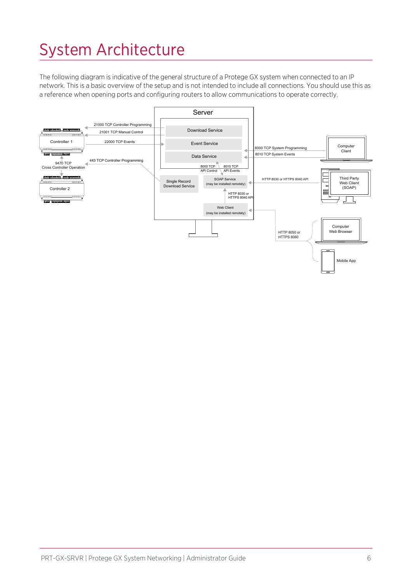# <span id="page-5-0"></span>System Architecture

The following diagram is indicative of the general structure of a Protege GX system when connected to an IP network. This is a basic overview of the setup and is not intended to include all connections. You should use this as a reference when opening ports and configuring routers to allow communications to operate correctly.

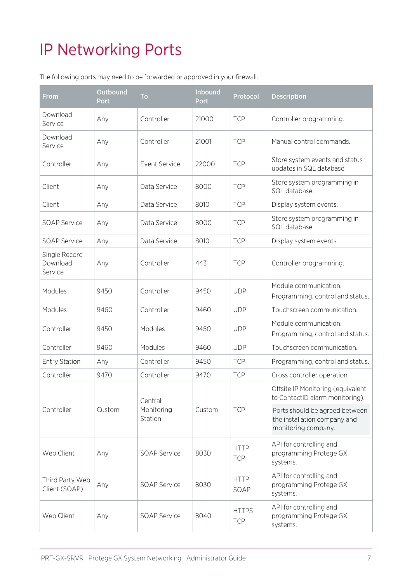# <span id="page-6-0"></span>IP Networking Ports

The following ports may need to be forwarded or approved in your firewall.

| From                                 | <b>Outbound</b><br>Port | To                               | <b>Inbound</b><br>Port | Protocol                   | <b>Description</b>                                                                    |
|--------------------------------------|-------------------------|----------------------------------|------------------------|----------------------------|---------------------------------------------------------------------------------------|
| Download<br>Service                  | Any                     | Controller                       | 21000                  | <b>TCP</b>                 | Controller programming.                                                               |
| Download<br>Service                  | Any                     | Controller                       | 21001                  | <b>TCP</b>                 | Manual control commands.                                                              |
| Controller                           | Any                     | <b>Event Service</b>             | 22000                  | <b>TCP</b>                 | Store system events and status<br>updates in SQL database.                            |
| Client                               | Any                     | Data Service                     | 8000                   | <b>TCP</b>                 | Store system programming in<br>SQL database.                                          |
| Client                               | Any                     | Data Service                     | 8010                   | <b>TCP</b>                 | Display system events.                                                                |
| <b>SOAP Service</b>                  | Any                     | Data Service                     | 8000                   | <b>TCP</b>                 | Store system programming in<br>SQL database.                                          |
| <b>SOAP Service</b>                  | Any                     | Data Service                     | 8010                   | <b>TCP</b>                 | Display system events.                                                                |
| Single Record<br>Download<br>Service | Any                     | Controller                       | 443                    | <b>TCP</b>                 | Controller programming.                                                               |
| Modules                              | 9450                    | Controller                       | 9450                   | <b>UDP</b>                 | Module communication.<br>Programming, control and status.                             |
| Modules                              | 9460                    | Controller                       | 9460                   | <b>UDP</b>                 | Touchscreen communication.                                                            |
| Controller                           | 9450                    | Modules                          | 9450                   | <b>UDP</b>                 | Module communication.<br>Programming, control and status.                             |
| Controller                           | 9460                    | Modules                          | 9460                   | <b>UDP</b>                 | Touchscreen communication.                                                            |
| <b>Entry Station</b>                 | Any                     | Controller                       | 9450                   | <b>TCP</b>                 | Programming, control and status.                                                      |
| Controller                           | 9470                    | Controller                       | 9470                   | <b>TCP</b>                 | Cross controller operation.                                                           |
| Controller                           | Custom                  | Central<br>Monitoring<br>Station | Custom                 | <b>TCP</b>                 | Offsite IP Monitoring (equivalent<br>to ContactID alarm monitoring).                  |
|                                      |                         |                                  |                        |                            | Ports should be agreed between<br>the installation company and<br>monitoring company. |
| Web Client                           | Any                     | <b>SOAP Service</b>              | 8030                   | <b>HTTP</b><br><b>TCP</b>  | API for controlling and<br>programming Protege GX<br>systems.                         |
| Third Party Web<br>Client (SOAP)     | Any                     | <b>SOAP Service</b>              | 8030                   | <b>HTTP</b><br>SOAP        | API for controlling and<br>programming Protege GX<br>systems.                         |
| Web Client                           | Any                     | <b>SOAP Service</b>              | 8040                   | <b>HTTPS</b><br><b>TCP</b> | API for controlling and<br>programming Protege GX<br>systems.                         |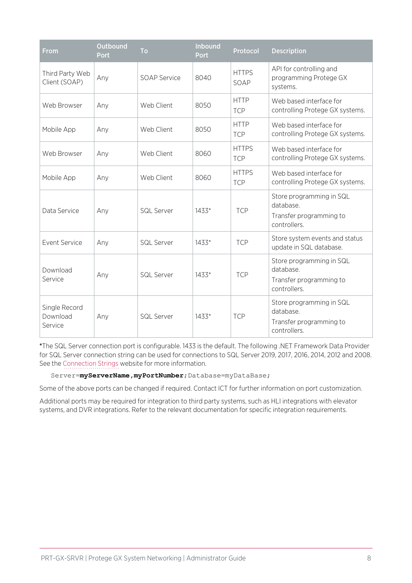| From                                 | Outbound<br>Port | <b>To</b>           | Inbound<br><b>Port</b> | Protocol                   | <b>Description</b>                                                               |
|--------------------------------------|------------------|---------------------|------------------------|----------------------------|----------------------------------------------------------------------------------|
| Third Party Web<br>Client (SOAP)     | Any              | <b>SOAP Service</b> | 8040                   | <b>HTTPS</b><br>SOAP       | API for controlling and<br>programming Protege GX<br>systems.                    |
| Web Browser                          | Any              | Web Client          | 8050                   | <b>HTTP</b><br><b>TCP</b>  | Web based interface for<br>controlling Protege GX systems.                       |
| Mobile App                           | Any              | Web Client          | 8050                   | <b>HTTP</b><br><b>TCP</b>  | Web based interface for<br>controlling Protege GX systems.                       |
| Web Browser                          | Any              | Web Client          | 8060                   | <b>HTTPS</b><br><b>TCP</b> | Web based interface for<br>controlling Protege GX systems.                       |
| Mobile App                           | Any              | Web Client          | 8060                   | <b>HTTPS</b><br><b>TCP</b> | Web based interface for<br>controlling Protege GX systems.                       |
| Data Service                         | Any              | <b>SQL Server</b>   | 1433*                  | <b>TCP</b>                 | Store programming in SQL<br>database.<br>Transfer programming to<br>controllers. |
| <b>Event Service</b>                 | Any              | <b>SQL Server</b>   | 1433*                  | <b>TCP</b>                 | Store system events and status<br>update in SQL database.                        |
| Download<br>Service                  | Any              | <b>SQL Server</b>   | $1433*$                | <b>TCP</b>                 | Store programming in SQL<br>database.<br>Transfer programming to<br>controllers. |
| Single Record<br>Download<br>Service | Any              | <b>SQL Server</b>   | 1433*                  | <b>TCP</b>                 | Store programming in SQL<br>database.<br>Transfer programming to<br>controllers. |

\*The SQL Server connection port is configurable. 1433 is the default. The following .NET Framework Data Provider for SQL Server connection string can be used for connections to SQL Server 2019, 2017, 2016, 2014, 2012 and 2008. See the [Connection](https://www.connectionstrings.com/sqlconnection/) Strings website for more information.

Server=**myServerName,myPortNumber**;Database=myDataBase;

Some of the above ports can be changed if required. Contact ICT for further information on port customization.

Additional ports may be required for integration to third party systems, such as HLI integrations with elevator systems, and DVR integrations. Refer to the relevant documentation for specific integration requirements.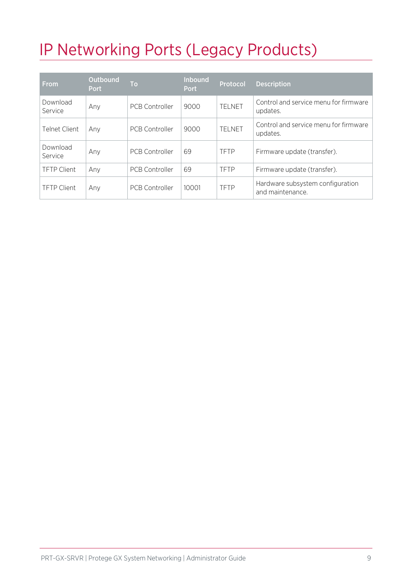# <span id="page-8-0"></span>IP Networking Ports (Legacy Products)

| <b>From</b>         | Outbound<br><b>Port</b> | <b>To</b>             | <b>Inbound</b><br><b>Port</b> | Protocol       | <b>Description</b>                                   |
|---------------------|-------------------------|-----------------------|-------------------------------|----------------|------------------------------------------------------|
| Download<br>Service | Any                     | <b>PCB Controller</b> | 9000                          | <b>TFI NFT</b> | Control and service menu for firmware<br>updates.    |
| Telnet Client.      | Any                     | <b>PCB Controller</b> | 9000                          | TELNET         | Control and service menu for firmware<br>updates.    |
| Download<br>Service | Any                     | <b>PCB Controller</b> | 69                            | <b>TFTP</b>    | Firmware update (transfer).                          |
| <b>TFTP Client</b>  | Any                     | <b>PCB Controller</b> | 69                            | <b>TFTP</b>    | Firmware update (transfer).                          |
| <b>TFTP Client</b>  | Any                     | <b>PCB Controller</b> | 10001                         | <b>TFTP</b>    | Hardware subsystem configuration<br>and maintenance. |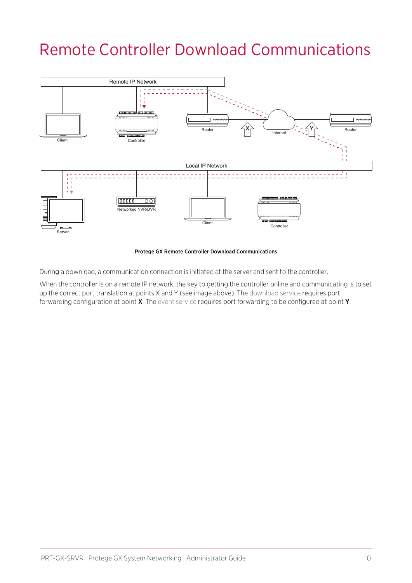### <span id="page-9-0"></span>Remote Controller Download Communications



Protege GX Remote Controller Download Communications

During a download, a communication connection is initiated at the server and sent to the controller.

When the controller is on a remote IP network, the key to getting the controller online and communicating is to set up the correct port translation at points X and Y (see image above). The download service requires port forwarding configuration at point **X**. The event service requires port forwarding to be configured at point **Y**.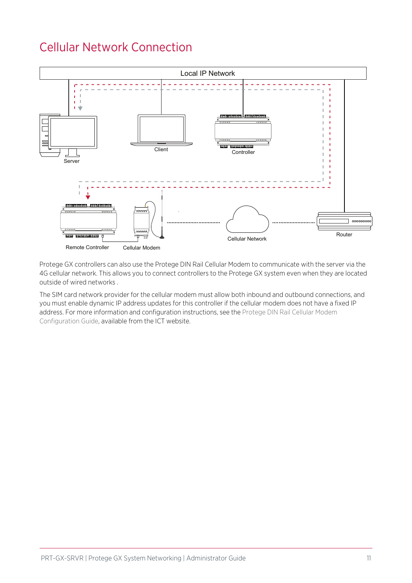#### <span id="page-10-0"></span>Cellular Network Connection



Protege GX controllers can also use the Protege DIN Rail Cellular Modem to communicate with the server via the 4G cellular network. This allows you to connect controllers to the Protege GX system even when they are located outside of wired networks .

The SIM card network provider for the cellular modem must allow both inbound and outbound connections, and you must enable dynamic IP address updates for this controller if the cellular modem does not have a fixed IP address. For more information and configuration instructions, see the Protege DIN Rail Cellular Modem Configuration Guide, available from the ICT website.